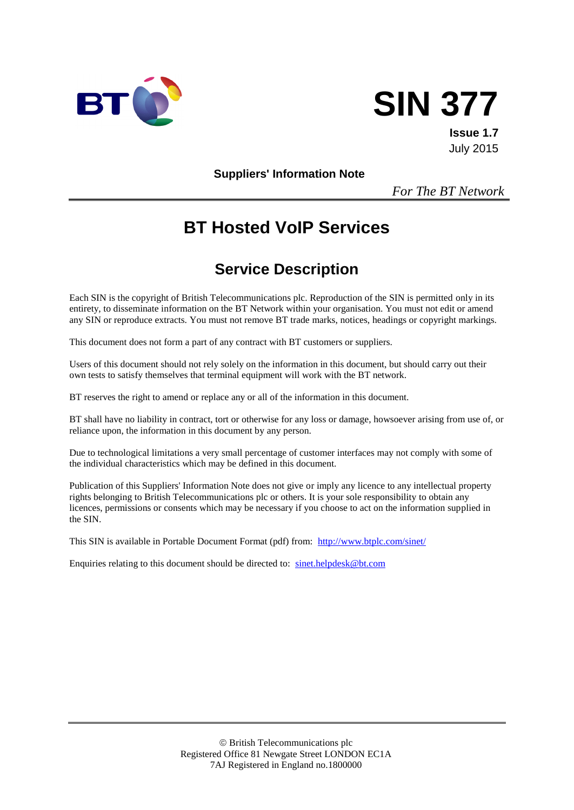



**Issue 1.7** July 2015

**Suppliers' Information Note**

*For The BT Network*

# **BT Hosted VoIP Services**

# **Service Description**

Each SIN is the copyright of British Telecommunications plc. Reproduction of the SIN is permitted only in its entirety, to disseminate information on the BT Network within your organisation. You must not edit or amend any SIN or reproduce extracts. You must not remove BT trade marks, notices, headings or copyright markings.

This document does not form a part of any contract with BT customers or suppliers.

Users of this document should not rely solely on the information in this document, but should carry out their own tests to satisfy themselves that terminal equipment will work with the BT network.

BT reserves the right to amend or replace any or all of the information in this document.

BT shall have no liability in contract, tort or otherwise for any loss or damage, howsoever arising from use of, or reliance upon, the information in this document by any person.

Due to technological limitations a very small percentage of customer interfaces may not comply with some of the individual characteristics which may be defined in this document.

Publication of this Suppliers' Information Note does not give or imply any licence to any intellectual property rights belonging to British Telecommunications plc or others. It is your sole responsibility to obtain any licences, permissions or consents which may be necessary if you choose to act on the information supplied in the SIN.

This SIN is available in Portable Document Format (pdf) from: <http://www.btplc.com/sinet/>

Enquiries relating to this document should be directed to: [sinet.helpdesk@bt.com](mailto:sinet.helpdesk@bt.com)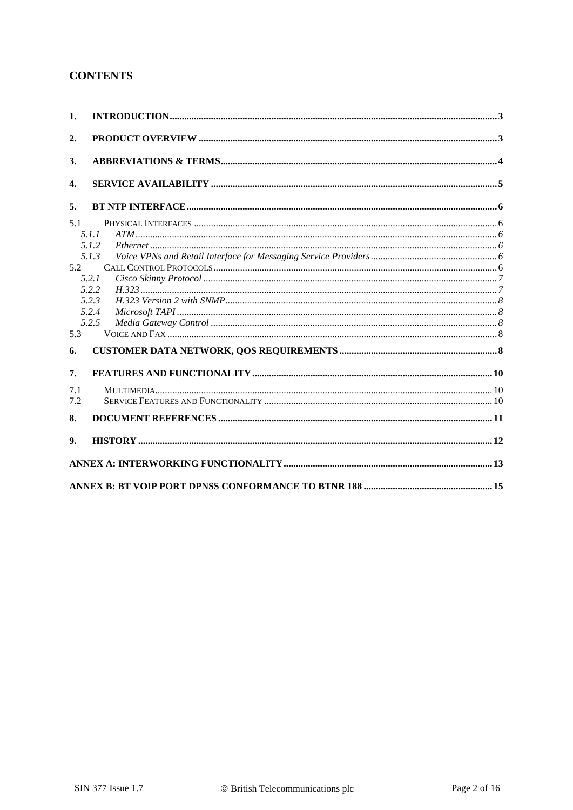# **CONTENTS**

| 1.         |                         |  |
|------------|-------------------------|--|
| 2.         |                         |  |
| 3.         |                         |  |
| 4.         |                         |  |
| 5.         |                         |  |
| 5.1        | 5.1.1                   |  |
| 5.2        | 5.1.2<br>5.1.3          |  |
|            | 5.2.1<br>5.2.2          |  |
|            | 5.2.3<br>5.2.4<br>5.2.5 |  |
| 5.3        |                         |  |
| 6.         |                         |  |
| 7.         |                         |  |
| 7.1<br>7.2 |                         |  |
| 8.         |                         |  |
| 9.         |                         |  |
|            |                         |  |
|            |                         |  |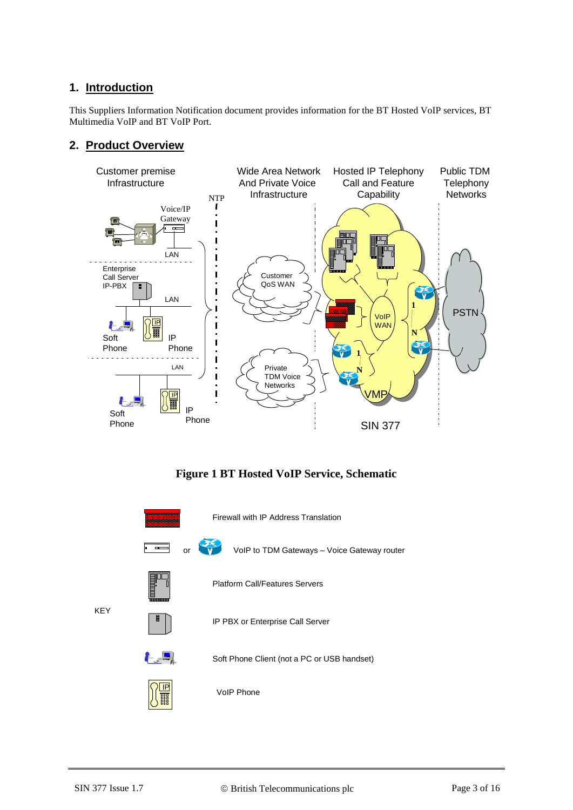# **1. Introduction**

This Suppliers Information Notification document provides information for the BT Hosted VoIP services, BT Multimedia VoIP and BT VoIP Port.

## **2. Product Overview**



# **Figure 1 BT Hosted VoIP Service, Schematic**

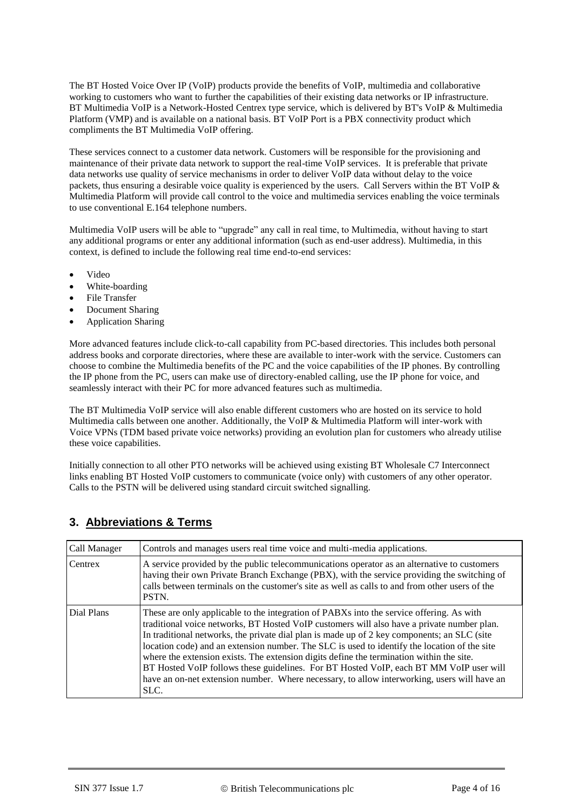The BT Hosted Voice Over IP (VoIP) products provide the benefits of VoIP, multimedia and collaborative working to customers who want to further the capabilities of their existing data networks or IP infrastructure. BT Multimedia VoIP is a Network-Hosted Centrex type service, which is delivered by BT's VoIP & Multimedia Platform (VMP) and is available on a national basis. BT VoIP Port is a PBX connectivity product which compliments the BT Multimedia VoIP offering.

These services connect to a customer data network. Customers will be responsible for the provisioning and maintenance of their private data network to support the real-time VoIP services. It is preferable that private data networks use quality of service mechanisms in order to deliver VoIP data without delay to the voice packets, thus ensuring a desirable voice quality is experienced by the users. Call Servers within the BT VoIP & Multimedia Platform will provide call control to the voice and multimedia services enabling the voice terminals to use conventional E.164 telephone numbers.

Multimedia VoIP users will be able to "upgrade" any call in real time, to Multimedia, without having to start any additional programs or enter any additional information (such as end-user address). Multimedia, in this context, is defined to include the following real time end-to-end services:

- Video
- White-boarding
- File Transfer
- Document Sharing
- Application Sharing

More advanced features include click-to-call capability from PC-based directories. This includes both personal address books and corporate directories, where these are available to inter-work with the service. Customers can choose to combine the Multimedia benefits of the PC and the voice capabilities of the IP phones. By controlling the IP phone from the PC, users can make use of directory-enabled calling, use the IP phone for voice, and seamlessly interact with their PC for more advanced features such as multimedia.

The BT Multimedia VoIP service will also enable different customers who are hosted on its service to hold Multimedia calls between one another. Additionally, the VoIP & Multimedia Platform will inter-work with Voice VPNs (TDM based private voice networks) providing an evolution plan for customers who already utilise these voice capabilities.

Initially connection to all other PTO networks will be achieved using existing BT Wholesale C7 Interconnect links enabling BT Hosted VoIP customers to communicate (voice only) with customers of any other operator. Calls to the PSTN will be delivered using standard circuit switched signalling.

| Call Manager | Controls and manages users real time voice and multi-media applications.                                                                                                                                                                                                                                                                                                                                                                                                                                                                                                                                                                                                                      |
|--------------|-----------------------------------------------------------------------------------------------------------------------------------------------------------------------------------------------------------------------------------------------------------------------------------------------------------------------------------------------------------------------------------------------------------------------------------------------------------------------------------------------------------------------------------------------------------------------------------------------------------------------------------------------------------------------------------------------|
| Centrex      | A service provided by the public telecommunications operator as an alternative to customers<br>having their own Private Branch Exchange (PBX), with the service providing the switching of<br>calls between terminals on the customer's site as well as calls to and from other users of the<br>PSTN.                                                                                                                                                                                                                                                                                                                                                                                         |
| Dial Plans   | These are only applicable to the integration of PABXs into the service offering. As with<br>traditional voice networks, BT Hosted VoIP customers will also have a private number plan.<br>In traditional networks, the private dial plan is made up of $2 \text{ key components}$ ; an SLC (site<br>location code) and an extension number. The SLC is used to identify the location of the site<br>where the extension exists. The extension digits define the termination within the site.<br>BT Hosted VoIP follows these guidelines. For BT Hosted VoIP, each BT MM VoIP user will<br>have an on-net extension number. Where necessary, to allow interworking, users will have an<br>SLC. |

## **3. Abbreviations & Terms**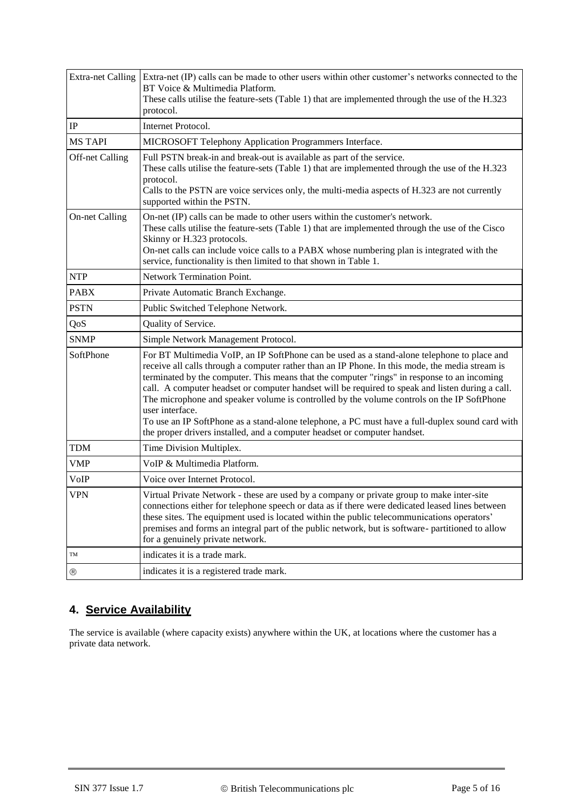| <b>Extra-net Calling</b> | Extra-net (IP) calls can be made to other users within other customer's networks connected to the<br>BT Voice & Multimedia Platform.<br>These calls utilise the feature-sets (Table 1) that are implemented through the use of the H.323<br>protocol.                                                                                                                                                                                                                                                                                                                                                                                                                                              |  |  |  |
|--------------------------|----------------------------------------------------------------------------------------------------------------------------------------------------------------------------------------------------------------------------------------------------------------------------------------------------------------------------------------------------------------------------------------------------------------------------------------------------------------------------------------------------------------------------------------------------------------------------------------------------------------------------------------------------------------------------------------------------|--|--|--|
| $\rm IP$                 | Internet Protocol.                                                                                                                                                                                                                                                                                                                                                                                                                                                                                                                                                                                                                                                                                 |  |  |  |
| <b>MS TAPI</b>           | MICROSOFT Telephony Application Programmers Interface.                                                                                                                                                                                                                                                                                                                                                                                                                                                                                                                                                                                                                                             |  |  |  |
| Off-net Calling          | Full PSTN break-in and break-out is available as part of the service.<br>These calls utilise the feature-sets (Table 1) that are implemented through the use of the H.323<br>protocol.<br>Calls to the PSTN are voice services only, the multi-media aspects of H.323 are not currently<br>supported within the PSTN.                                                                                                                                                                                                                                                                                                                                                                              |  |  |  |
| <b>On-net Calling</b>    | On-net (IP) calls can be made to other users within the customer's network.<br>These calls utilise the feature-sets (Table 1) that are implemented through the use of the Cisco<br>Skinny or H.323 protocols.<br>On-net calls can include voice calls to a PABX whose numbering plan is integrated with the<br>service, functionality is then limited to that shown in Table 1.                                                                                                                                                                                                                                                                                                                    |  |  |  |
| <b>NTP</b>               | <b>Network Termination Point.</b>                                                                                                                                                                                                                                                                                                                                                                                                                                                                                                                                                                                                                                                                  |  |  |  |
| <b>PABX</b>              | Private Automatic Branch Exchange.                                                                                                                                                                                                                                                                                                                                                                                                                                                                                                                                                                                                                                                                 |  |  |  |
| <b>PSTN</b>              | Public Switched Telephone Network.                                                                                                                                                                                                                                                                                                                                                                                                                                                                                                                                                                                                                                                                 |  |  |  |
| QoS                      | Quality of Service.                                                                                                                                                                                                                                                                                                                                                                                                                                                                                                                                                                                                                                                                                |  |  |  |
| <b>SNMP</b>              | Simple Network Management Protocol.                                                                                                                                                                                                                                                                                                                                                                                                                                                                                                                                                                                                                                                                |  |  |  |
| SoftPhone                | For BT Multimedia VoIP, an IP SoftPhone can be used as a stand-alone telephone to place and<br>receive all calls through a computer rather than an IP Phone. In this mode, the media stream is<br>terminated by the computer. This means that the computer "rings" in response to an incoming<br>call. A computer headset or computer handset will be required to speak and listen during a call.<br>The microphone and speaker volume is controlled by the volume controls on the IP SoftPhone<br>user interface.<br>To use an IP SoftPhone as a stand-alone telephone, a PC must have a full-duplex sound card with<br>the proper drivers installed, and a computer headset or computer handset. |  |  |  |
| <b>TDM</b>               | Time Division Multiplex.                                                                                                                                                                                                                                                                                                                                                                                                                                                                                                                                                                                                                                                                           |  |  |  |
| <b>VMP</b>               | VoIP & Multimedia Platform.                                                                                                                                                                                                                                                                                                                                                                                                                                                                                                                                                                                                                                                                        |  |  |  |
| VoIP                     | Voice over Internet Protocol.                                                                                                                                                                                                                                                                                                                                                                                                                                                                                                                                                                                                                                                                      |  |  |  |
| <b>VPN</b>               | Virtual Private Network - these are used by a company or private group to make inter-site<br>connections either for telephone speech or data as if there were dedicated leased lines between<br>these sites. The equipment used is located within the public telecommunications operators'<br>premises and forms an integral part of the public network, but is software-partitioned to allow<br>for a genuinely private network.                                                                                                                                                                                                                                                                  |  |  |  |
| TM                       | indicates it is a trade mark.                                                                                                                                                                                                                                                                                                                                                                                                                                                                                                                                                                                                                                                                      |  |  |  |
| $^\circledR$             | indicates it is a registered trade mark.                                                                                                                                                                                                                                                                                                                                                                                                                                                                                                                                                                                                                                                           |  |  |  |

# **4. Service Availability**

The service is available (where capacity exists) anywhere within the UK, at locations where the customer has a private data network.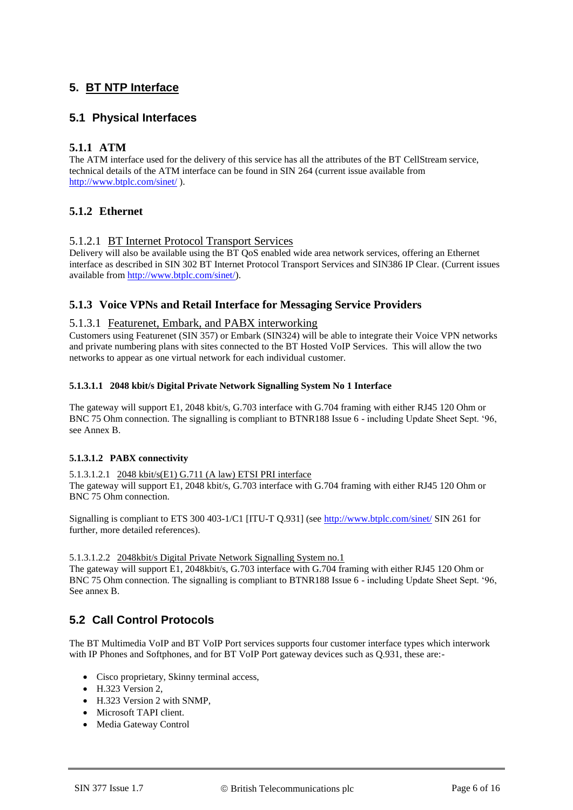# **5. BT NTP Interface**

## **5.1 Physical Interfaces**

## **5.1.1 ATM**

The ATM interface used for the delivery of this service has all the attributes of the BT CellStream service, technical details of the ATM interface can be found in SIN 264 (current issue available from <http://www.btplc.com/sinet/> ).

## **5.1.2 Ethernet**

#### 5.1.2.1 BT Internet Protocol Transport Services

Delivery will also be available using the BT QoS enabled wide area network services, offering an Ethernet interface as described in SIN 302 BT Internet Protocol Transport Services and SIN386 IP Clear. (Current issues available from [http://www.btplc.com/sinet/\)](http://www.btplc.com/sinet/).

#### **5.1.3 Voice VPNs and Retail Interface for Messaging Service Providers**

#### 5.1.3.1 Featurenet, Embark, and PABX interworking

Customers using Featurenet (SIN 357) or Embark (SIN324) will be able to integrate their Voice VPN networks and private numbering plans with sites connected to the BT Hosted VoIP Services. This will allow the two networks to appear as one virtual network for each individual customer.

#### **5.1.3.1.1 2048 kbit/s Digital Private Network Signalling System No 1 Interface**

The gateway will support E1, 2048 kbit/s, G.703 interface with G.704 framing with either RJ45 120 Ohm or BNC 75 Ohm connection. The signalling is compliant to BTNR188 Issue 6 - including Update Sheet Sept. '96, see Annex B.

#### **5.1.3.1.2 PABX connectivity**

#### 5.1.3.1.2.1 2048 kbit/s(E1) G.711 (A law) ETSI PRI interface

The gateway will support E1, 2048 kbit/s, G.703 interface with G.704 framing with either RJ45 120 Ohm or BNC 75 Ohm connection.

Signalling is compliant to ETS 300 403-1/C1 [ITU-T Q.931] (see <http://www.btplc.com/sinet/> SIN 261 for further, more detailed references).

#### 5.1.3.1.2.2 2048kbit/s Digital Private Network Signalling System no.1

The gateway will support E1, 2048kbit/s, G.703 interface with G.704 framing with either RJ45 120 Ohm or BNC 75 Ohm connection. The signalling is compliant to BTNR188 Issue 6 - including Update Sheet Sept. '96, See annex B.

# **5.2 Call Control Protocols**

The BT Multimedia VoIP and BT VoIP Port services supports four customer interface types which interwork with IP Phones and Softphones, and for BT VoIP Port gateway devices such as Q.931, these are:-

- Cisco proprietary, Skinny terminal access,
- $\bullet$  H.323 Version 2.
- H.323 Version 2 with SNMP,
- Microsoft TAPI client.
- Media Gateway Control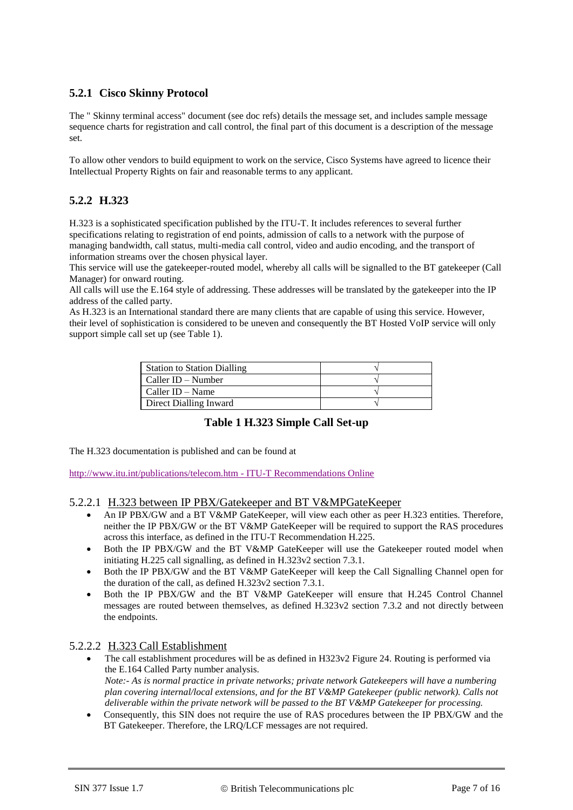## **5.2.1 Cisco Skinny Protocol**

The " Skinny terminal access" document (see doc refs) details the message set, and includes sample message sequence charts for registration and call control, the final part of this document is a description of the message set.

To allow other vendors to build equipment to work on the service, Cisco Systems have agreed to licence their Intellectual Property Rights on fair and reasonable terms to any applicant.

## **5.2.2 H.323**

H.323 is a sophisticated specification published by the ITU-T. It includes references to several further specifications relating to registration of end points, admission of calls to a network with the purpose of managing bandwidth, call status, multi-media call control, video and audio encoding, and the transport of information streams over the chosen physical layer.

This service will use the gatekeeper-routed model, whereby all calls will be signalled to the BT gatekeeper (Call Manager) for onward routing.

All calls will use the E.164 style of addressing. These addresses will be translated by the gatekeeper into the IP address of the called party.

As H.323 is an International standard there are many clients that are capable of using this service. However, their level of sophistication is considered to be uneven and consequently the BT Hosted VoIP service will only support simple call set up (see Table 1).

| <b>Station to Station Dialling</b> |  |
|------------------------------------|--|
| Caller ID – Number                 |  |
| Caller ID – Name                   |  |
| Direct Dialling Inward             |  |

#### **Table 1 H.323 Simple Call Set-up**

The H.323 documentation is published and can be found at

[http://www.itu.int/publications/telecom.htm -](http://www.itu.int/publications/telecom.htm#ITU-T Recommendations Online) ITU-T Recommendations Online

#### 5.2.2.1 H.323 between IP PBX/Gatekeeper and BT V&MPGateKeeper

- An IP PBX/GW and a BT V&MP GateKeeper, will view each other as peer H.323 entities. Therefore, neither the IP PBX/GW or the BT V&MP GateKeeper will be required to support the RAS procedures across this interface, as defined in the ITU-T Recommendation H.225.
- Both the IP PBX/GW and the BT V&MP GateKeeper will use the Gatekeeper routed model when initiating H.225 call signalling, as defined in H.323v2 section 7.3.1.
- Both the IP PBX/GW and the BT V&MP GateKeeper will keep the Call Signalling Channel open for the duration of the call, as defined H.323v2 section 7.3.1.
- Both the IP PBX/GW and the BT V&MP GateKeeper will ensure that H.245 Control Channel messages are routed between themselves, as defined H.323v2 section 7.3.2 and not directly between the endpoints.

#### 5.2.2.2 H.323 Call Establishment

- The call establishment procedures will be as defined in H323v2 Figure 24. Routing is performed via the E.164 Called Party number analysis. *Note:- As is normal practice in private networks; private network Gatekeepers will have a numbering plan covering internal/local extensions, and for the BT V&MP Gatekeeper (public network). Calls not deliverable within the private network will be passed to the BT V&MP Gatekeeper for processing.*
- Consequently, this SIN does not require the use of RAS procedures between the IP PBX/GW and the BT Gatekeeper. Therefore, the LRQ/LCF messages are not required.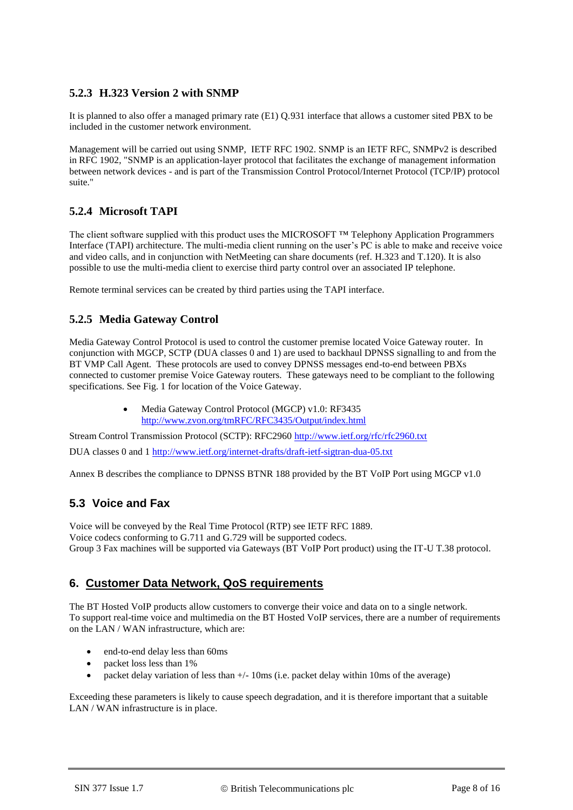## **5.2.3 H.323 Version 2 with SNMP**

It is planned to also offer a managed primary rate (E1) Q.931 interface that allows a customer sited PBX to be included in the customer network environment.

Management will be carried out using SNMP, IETF RFC 1902. SNMP is an IETF RFC, SNMPv2 is described in RFC 1902, "SNMP is an application-layer protocol that facilitates the exchange of management information between network devices - and is part of the Transmission Control Protocol/Internet Protocol (TCP/IP) protocol suite."

## **5.2.4 Microsoft TAPI**

The client software supplied with this product uses the MICROSOFT ™ Telephony Application Programmers Interface (TAPI) architecture. The multi-media client running on the user's PC is able to make and receive voice and video calls, and in conjunction with NetMeeting can share documents (ref. H.323 and T.120). It is also possible to use the multi-media client to exercise third party control over an associated IP telephone.

Remote terminal services can be created by third parties using the TAPI interface.

## <span id="page-7-0"></span>**5.2.5 Media Gateway Control**

Media Gateway Control Protocol is used to control the customer premise located Voice Gateway router. In conjunction with MGCP, SCTP (DUA classes 0 and 1) are used to backhaul DPNSS signalling to and from the BT VMP Call Agent. These protocols are used to convey DPNSS messages end-to-end between PBXs connected to customer premise Voice Gateway routers. These gateways need to be compliant to the following specifications. See Fig. 1 for location of the Voice Gateway.

> Media Gateway Control Protocol (MGCP) v1.0: RF3435 <http://www.zvon.org/tmRFC/RFC3435/Output/index.html>

Stream Control Transmission Protocol (SCTP): RFC2960<http://www.ietf.org/rfc/rfc2960.txt> DUA classes 0 and 1<http://www.ietf.org/internet-drafts/draft-ietf-sigtran-dua-05.txt>

Annex B describes the compliance to DPNSS BTNR 188 provided by the BT VoIP Port using MGCP v1.0

# **5.3 Voice and Fax**

Voice will be conveyed by the Real Time Protocol (RTP) see IETF RFC 1889. Voice codecs conforming to G.711 and G.729 will be supported codecs. Group 3 Fax machines will be supported via Gateways (BT VoIP Port product) using the IT-U T.38 protocol.

## **6. Customer Data Network, QoS requirements**

The BT Hosted VoIP products allow customers to converge their voice and data on to a single network. To support real-time voice and multimedia on the BT Hosted VoIP services, there are a number of requirements on the LAN / WAN infrastructure, which are:

- end-to-end delay less than 60ms
- packet loss less than 1%
- packet delay variation of less than  $+/-10$ ms (i.e. packet delay within 10ms of the average)

Exceeding these parameters is likely to cause speech degradation, and it is therefore important that a suitable LAN / WAN infrastructure is in place.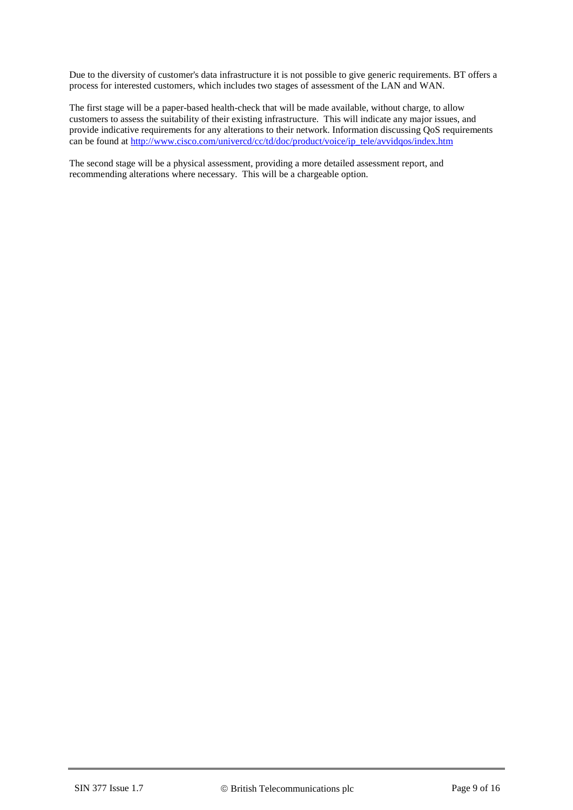Due to the diversity of customer's data infrastructure it is not possible to give generic requirements. BT offers a process for interested customers, which includes two stages of assessment of the LAN and WAN.

The first stage will be a paper-based health-check that will be made available, without charge, to allow customers to assess the suitability of their existing infrastructure. This will indicate any major issues, and provide indicative requirements for any alterations to their network. Information discussing QoS requirements can be found at [http://www.cisco.com/univercd/cc/td/doc/product/voice/ip\\_tele/avvidqos/index.htm](http://www.cisco.com/univercd/cc/td/doc/product/voice/ip_tele/avvidqos/index.htm)

The second stage will be a physical assessment, providing a more detailed assessment report, and recommending alterations where necessary. This will be a chargeable option.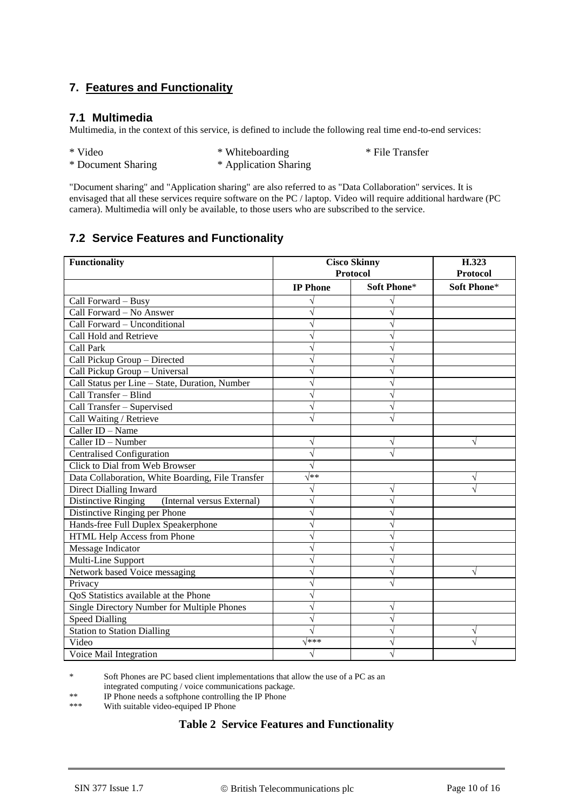# **7. Features and Functionality**

#### **7.1 Multimedia**

Multimedia, in the context of this service, is defined to include the following real time end-to-end services:

| * Video            | * Whiteboarding       | * File Transfer |
|--------------------|-----------------------|-----------------|
| * Document Sharing | * Application Sharing |                 |

"Document sharing" and "Application sharing" are also referred to as "Data Collaboration" services. It is envisaged that all these services require software on the PC / laptop. Video will require additional hardware (PC camera). Multimedia will only be available, to those users who are subscribed to the service.

## **7.2 Service Features and Functionality**

| <b>Functionality</b>                              | <b>Cisco Skinny</b><br>Protocol | H.323<br>Protocol |             |
|---------------------------------------------------|---------------------------------|-------------------|-------------|
|                                                   | Soft Phone*<br><b>IP Phone</b>  |                   | Soft Phone* |
| Call Forward - Busy                               |                                 |                   |             |
| Call Forward - No Answer                          |                                 |                   |             |
| Call Forward - Unconditional                      |                                 | V                 |             |
| Call Hold and Retrieve                            |                                 |                   |             |
| Call Park                                         |                                 |                   |             |
| Call Pickup Group - Directed                      |                                 | V                 |             |
| Call Pickup Group - Universal                     |                                 | V                 |             |
| Call Status per Line - State, Duration, Number    |                                 | V                 |             |
| Call Transfer - Blind                             |                                 | V                 |             |
| Call Transfer - Supervised                        |                                 | V                 |             |
| Call Waiting / Retrieve                           |                                 | N                 |             |
| Caller ID - Name                                  |                                 |                   |             |
| Caller ID - Number                                |                                 | $\sqrt{}$         |             |
| <b>Centralised Configuration</b>                  |                                 | N                 |             |
| Click to Dial from Web Browser                    |                                 |                   |             |
| Data Collaboration, White Boarding, File Transfer | √**                             |                   |             |
| Direct Dialling Inward                            |                                 | V                 |             |
| (Internal versus External)<br>Distinctive Ringing |                                 | V                 |             |
| Distinctive Ringing per Phone                     |                                 |                   |             |
| Hands-free Full Duplex Speakerphone               |                                 | V                 |             |
| HTML Help Access from Phone                       |                                 | V                 |             |
| Message Indicator                                 |                                 | V                 |             |
| Multi-Line Support                                |                                 | N                 |             |
| Network based Voice messaging                     |                                 | V                 |             |
| Privacy                                           |                                 |                   |             |
| OoS Statistics available at the Phone             |                                 |                   |             |
| Single Directory Number for Multiple Phones       |                                 | V                 |             |
| <b>Speed Dialling</b>                             |                                 | V                 |             |
| <b>Station to Station Dialling</b>                |                                 | N                 |             |
| Video                                             | $\sqrt{***}$                    |                   |             |
| Voice Mail Integration                            |                                 |                   |             |

\* Soft Phones are PC based client implementations that allow the use of a PC as an integrated computing / voice communications package.

\*\* IP Phone needs a softphone controlling the IP Phone

\*\*\* With suitable video-equiped IP Phone

#### **Table 2 Service Features and Functionality**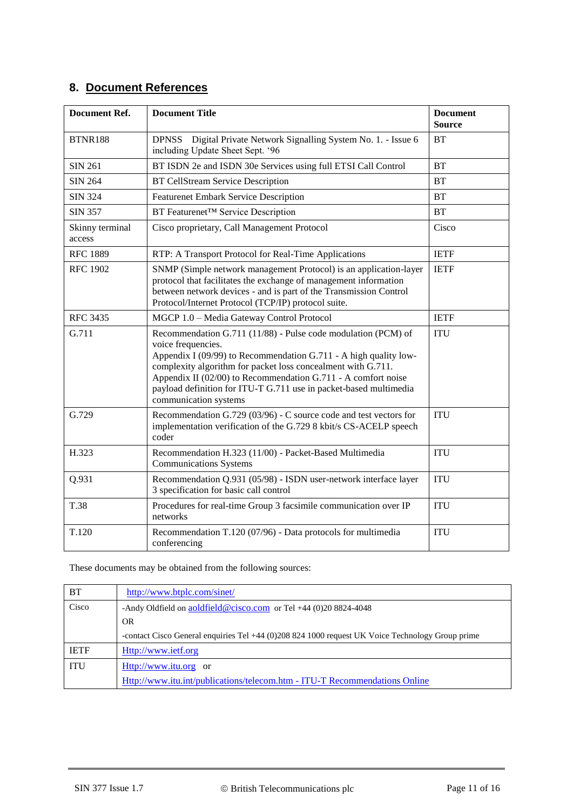# **8. Document References**

| <b>Document Ref.</b>                                                                                                                                     | <b>Document Title</b>                                                                                      |             |  |
|----------------------------------------------------------------------------------------------------------------------------------------------------------|------------------------------------------------------------------------------------------------------------|-------------|--|
| <b>BTNR188</b>                                                                                                                                           | DPNSS Digital Private Network Signalling System No. 1. - Issue 6<br>including Update Sheet Sept. '96       | <b>BT</b>   |  |
| <b>SIN 261</b>                                                                                                                                           | BT ISDN 2e and ISDN 30e Services using full ETSI Call Control                                              | <b>BT</b>   |  |
| <b>SIN 264</b>                                                                                                                                           | <b>BT CellStream Service Description</b>                                                                   | <b>BT</b>   |  |
| <b>SIN 324</b>                                                                                                                                           | <b>Featurenet Embark Service Description</b>                                                               | <b>BT</b>   |  |
| <b>SIN 357</b>                                                                                                                                           | BT Featurenet <sup>™</sup> Service Description                                                             | <b>BT</b>   |  |
| Skinny terminal<br>access                                                                                                                                | Cisco proprietary, Call Management Protocol                                                                | Cisco       |  |
| <b>RFC 1889</b>                                                                                                                                          | RTP: A Transport Protocol for Real-Time Applications                                                       | <b>IETF</b> |  |
| <b>RFC 1902</b>                                                                                                                                          | <b>IETF</b>                                                                                                |             |  |
| <b>RFC 3435</b>                                                                                                                                          | MGCP 1.0 - Media Gateway Control Protocol                                                                  | <b>IETF</b> |  |
| G.711                                                                                                                                                    | <b>ITU</b>                                                                                                 |             |  |
| G.729<br>Recommendation G.729 (03/96) - C source code and test vectors for<br>implementation verification of the G.729 8 kbit/s CS-ACELP speech<br>coder |                                                                                                            | <b>ITU</b>  |  |
| H.323<br>Recommendation H.323 (11/00) - Packet-Based Multimedia<br><b>Communications Systems</b>                                                         |                                                                                                            | <b>ITU</b>  |  |
| Q.931                                                                                                                                                    | Recommendation Q.931 (05/98) - ISDN user-network interface layer<br>3 specification for basic call control | <b>ITU</b>  |  |
| T.38                                                                                                                                                     | Procedures for real-time Group 3 facsimile communication over IP<br>networks                               |             |  |
| T.120                                                                                                                                                    | Recommendation T.120 (07/96) - Data protocols for multimedia<br>conferencing                               |             |  |

These documents may be obtained from the following sources:

| BT          | http://www.btplc.com/sinet/                                                                      |
|-------------|--------------------------------------------------------------------------------------------------|
| Cisco       | -Andy Oldfield on aoldfield@cisco.com or Tel +44 (0)20 8824-4048                                 |
|             | OR                                                                                               |
|             | -contact Cisco General enquiries Tel +44 (0)208 824 1000 request UK Voice Technology Group prime |
| <b>IETF</b> | Http://www.ietf.org                                                                              |
| <b>ITU</b>  | Http://www.itu.org or                                                                            |
|             | Http://www.itu.int/publications/telecom.htm - ITU-T Recommendations Online                       |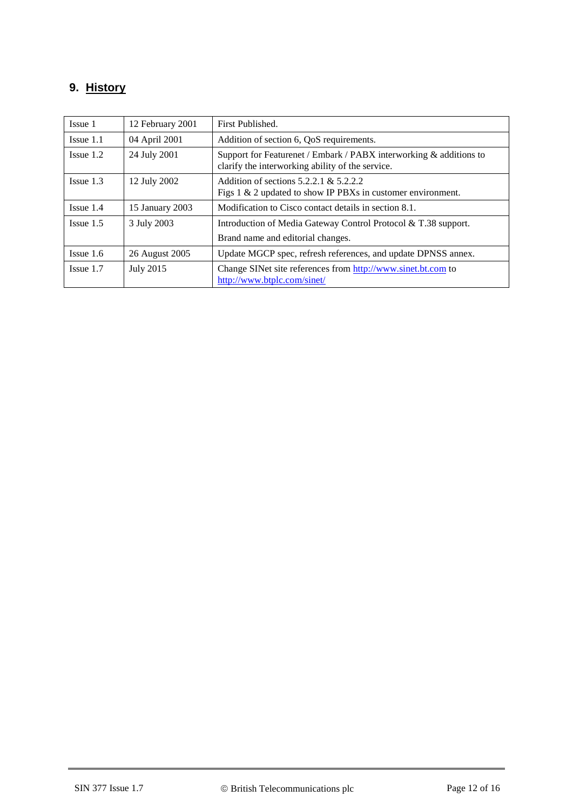# **9. History**

| Issue 1        | 12 February 2001 | First Published.                                                                                                       |  |  |
|----------------|------------------|------------------------------------------------------------------------------------------------------------------------|--|--|
| $I$ ssue $1.1$ | 04 April 2001    | Addition of section 6, QoS requirements.                                                                               |  |  |
| $I$ ssue $1.2$ | 24 July 2001     | Support for Featurenet / Embark / PABX interworking & additions to<br>clarify the interworking ability of the service. |  |  |
| $Issue$ 1.3    | 12 July 2002     | Addition of sections $5.2.2.1 \& 5.2.2.2$<br>Figs $1 \& 2$ updated to show IP PBXs in customer environment.            |  |  |
| $I$ ssue $1.4$ | 15 January 2003  | Modification to Cisco contact details in section 8.1.                                                                  |  |  |
| $I$ ssue $1.5$ | 3 July 2003      | Introduction of Media Gateway Control Protocol & T.38 support.                                                         |  |  |
|                |                  | Brand name and editorial changes.                                                                                      |  |  |
| $I$ ssue 1.6   | 26 August 2005   | Update MGCP spec, refresh references, and update DPNSS annex.                                                          |  |  |
| $I$ ssue 1.7   | <b>July 2015</b> | Change SINet site references from http://www.sinet.bt.com to<br>http://www.btplc.com/sinet/                            |  |  |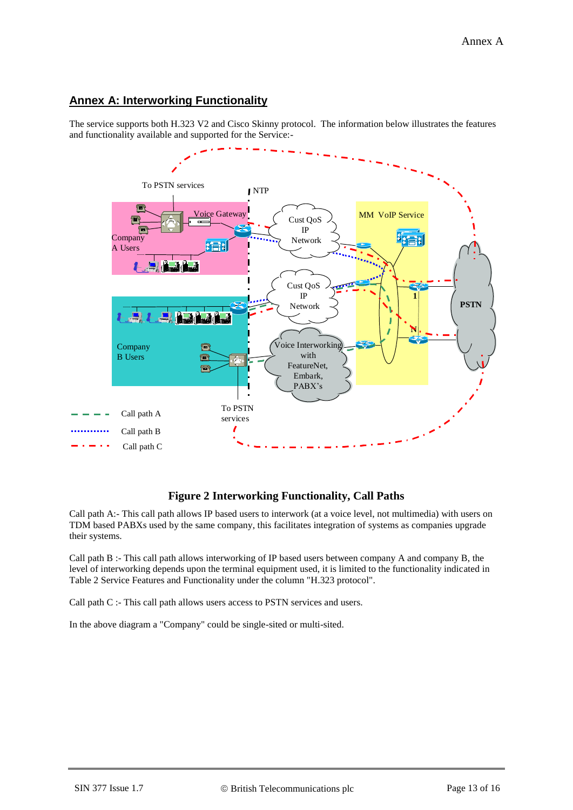# **Annex A: Interworking Functionality**

The service supports both H.323 V2 and Cisco Skinny protocol. The information below illustrates the features and functionality available and supported for the Service:-



# **Figure 2 Interworking Functionality, Call Paths**

Call path A:- This call path allows IP based users to interwork (at a voice level, not multimedia) with users on TDM based PABXs used by the same company, this facilitates integration of systems as companies upgrade their systems.

Call path B :- This call path allows interworking of IP based users between company A and company B, the level of interworking depends upon the terminal equipment used, it is limited to the functionality indicated in Table 2 Service Features and Functionality under the column "H.323 protocol".

Call path C :- This call path allows users access to PSTN services and users.

In the above diagram a "Company" could be single-sited or multi-sited.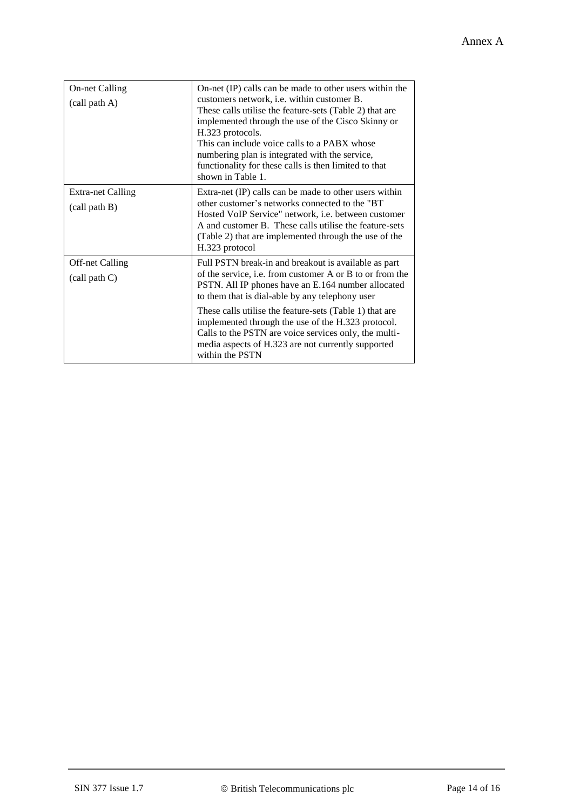| <b>On-net Calling</b><br>(call path A)           | On-net (IP) calls can be made to other users within the<br>customers network, <i>i.e.</i> within customer B.<br>These calls utilise the feature-sets (Table 2) that are<br>implemented through the use of the Cisco Skinny or<br>H.323 protocols.<br>This can include voice calls to a PABX whose<br>numbering plan is integrated with the service,<br>functionality for these calls is then limited to that<br>shown in Table 1.                                            |
|--------------------------------------------------|------------------------------------------------------------------------------------------------------------------------------------------------------------------------------------------------------------------------------------------------------------------------------------------------------------------------------------------------------------------------------------------------------------------------------------------------------------------------------|
| <b>Extra-net Calling</b><br>(call path B)        | Extra-net (IP) calls can be made to other users within<br>other customer's networks connected to the "BT"<br>Hosted VoIP Service" network, <i>i.e.</i> between customer<br>A and customer B. These calls utilise the feature-sets<br>(Table 2) that are implemented through the use of the<br>H.323 protocol                                                                                                                                                                 |
| <b>Off-net Calling</b><br>$\text{(call path C)}$ | Full PSTN break-in and breakout is available as part<br>of the service, i.e. from customer A or B to or from the<br>PSTN. All IP phones have an E.164 number allocated<br>to them that is dial-able by any telephony user<br>These calls utilise the feature-sets (Table 1) that are<br>implemented through the use of the H.323 protocol.<br>Calls to the PSTN are voice services only, the multi-<br>media aspects of H.323 are not currently supported<br>within the PSTN |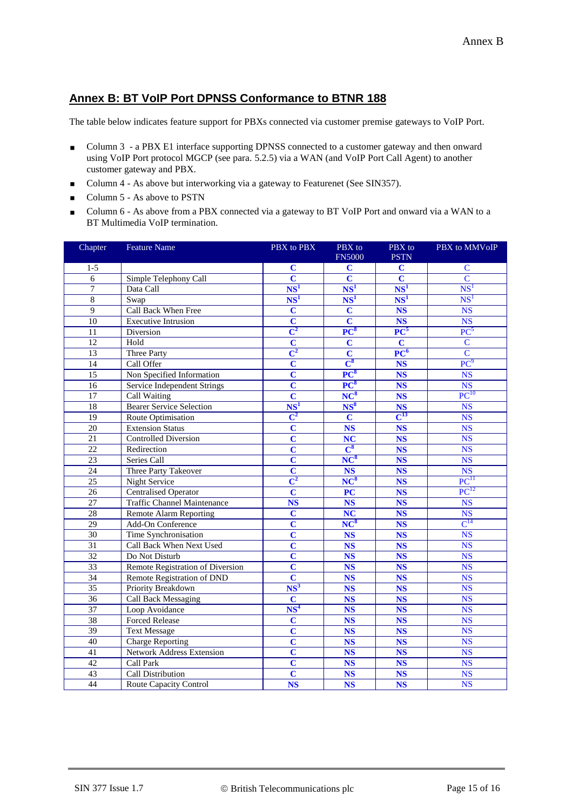# **Annex B: BT VoIP Port DPNSS Conformance to BTNR 188**

The table below indicates feature support for PBXs connected via customer premise gateways to VoIP Port.

- Column 3 a PBX E1 interface supporting DPNSS connected to a customer gateway and then onward using VoIP Port protocol MGCP (see para. [5.2.5\)](#page-7-0) via a WAN (and VoIP Port Call Agent) to another customer gateway and PBX.
- Column 4 As above but interworking via a gateway to Featurenet (See SIN357).
- Column 5 As above to PSTN
- Column 6 As above from a PBX connected via a gateway to BT VoIP Port and onward via a WAN to a BT Multimedia VoIP termination.

| Chapter         | <b>Feature Name</b>                | PBX to PBX                | PBX to<br><b>FN5000</b>   | PBX to<br><b>PSTN</b>   | PBX to MMVoIP          |
|-----------------|------------------------------------|---------------------------|---------------------------|-------------------------|------------------------|
| $1 - 5$         |                                    | $\mathbf C$               | $\mathbf C$               | $\mathbf{C}$            | $\mathbf C$            |
| 6               | Simple Telephony Call              | $\overline{\mathbf{C}}$   | $\overline{\mathbf{C}}$   | $\overline{\mathbf{C}}$ | $\mathbf C$            |
| $\overline{7}$  | Data Call                          | NS <sup>1</sup>           | NS <sup>1</sup>           | NS <sup>1</sup>         | NS <sup>1</sup>        |
| $\overline{8}$  | Swap                               | NS <sup>1</sup>           | NS <sup>1</sup>           | NS <sup>1</sup>         | NS <sup>1</sup>        |
| $\overline{9}$  | Call Back When Free                | $\overline{\mathbf{C}}$   | $\mathbf C$               | $\overline{\text{NS}}$  | $\overline{\text{NS}}$ |
| 10              | <b>Executive Intrusion</b>         | $\mathbf C$               | $\mathbf C$               | <b>NS</b>               | NS                     |
| 11              | Diversion                          | $\overline{\bf C}^2$      | PC <sup>8</sup>           | $\overline{PC}^5$       | $PC^5$                 |
| 12              | Hold                               | $\overline{\mathbf{c}}$   | $\overline{\mathbf{C}}$   | $\overline{\mathbf{C}}$ | $\overline{C}$         |
| 13              | <b>Three Party</b>                 | $\mathbf{C}^2$            | $\overline{c}$            | PC <sup>6</sup>         | $\mathbf C$            |
| 14              | Call Offer                         | $\overline{\mathbf{C}}$   | $\overline{\mathbf{C}^8}$ | <b>NS</b>               | PC <sup>9</sup>        |
| 15              | Non Specified Information          | $\overline{c}$            | $\overline{PC}^8$         | <b>NS</b>               | <b>NS</b>              |
| 16              | Service Independent Strings        | $\overline{\mathbf{c}}$   | PC <sup>8</sup>           | <b>NS</b>               | $\overline{\text{NS}}$ |
| $\overline{17}$ | Call Waiting                       | $\overline{\mathbf{C}}$   | $\overline{\text{NC}^8}$  | <b>NS</b>               | $PC^{10}$              |
| 18              | <b>Bearer Service Selection</b>    | NS <sup>1</sup>           | NS <sup>8</sup>           | <b>NS</b>               | <b>NS</b>              |
| $\overline{19}$ | <b>Route Optimisation</b>          | $\textbf{C}^{\textbf{2}}$ | $\mathbf C$               | $\textbf{C}^{13}$       | $\overline{\text{NS}}$ |
| 20              | <b>Extension Status</b>            | $\mathbf C$               | <b>NS</b>                 | <b>NS</b>               | <b>NS</b>              |
| $\overline{21}$ | <b>Controlled Diversion</b>        | $\overline{\mathbf{c}}$   | $\overline{\text{NC}}$    | $\overline{\text{NS}}$  | $\overline{\text{NS}}$ |
| 22              | Redirection                        | $\overline{\mathbf{C}}$   | $\mathbf{C}^8$            | <b>NS</b>               | $\overline{\text{NS}}$ |
| 23              | Series Call                        | $\overline{\mathbf{C}}$   | NC <sup>8</sup>           | <b>NS</b>               | NS                     |
| 24              | Three Party Takeover               | $\mathbf C$               | NS                        | <b>NS</b>               | NS                     |
| 25              | Night Service                      | $\overline{\mathbf{C}^2}$ | NC <sup>8</sup>           | <b>NS</b>               | PC <sup>11</sup>       |
| 26              | <b>Centralised Operator</b>        | $\overline{\mathbf{C}}$   | PC                        | <b>NS</b>               | $PC^{12}$              |
| $\overline{27}$ | <b>Traffic Channel Maintenance</b> | $\overline{\text{NS}}$    | $\overline{\text{NS}}$    | $\overline{\text{NS}}$  | $\overline{\text{NS}}$ |
| $\overline{28}$ | <b>Remote Alarm Reporting</b>      | $\mathbf C$               | NC                        | NS                      | $\overline{\text{NS}}$ |
| 29              | Add-On Conference                  | $\overline{\mathbf{C}}$   | NC <sup>8</sup>           | $\overline{\text{NS}}$  | $\overline{C}^{14}$    |
| 30              | Time Synchronisation               | $\overline{c}$            | <b>NS</b>                 | <b>NS</b>               | $\overline{\text{NS}}$ |
| $\overline{31}$ | Call Back When Next Used           | $\overline{\mathbf{c}}$   | $\overline{\text{NS}}$    | $\overline{\text{NS}}$  | $\overline{\text{NS}}$ |
| $\overline{32}$ | Do Not Disturb                     | $\overline{\mathbf{C}}$   | <b>NS</b>                 | <b>NS</b>               | NS                     |
| $\overline{33}$ | Remote Registration of Diversion   | $\overline{\mathbf{c}}$   | <b>NS</b>                 | <b>NS</b>               | <b>NS</b>              |
| 34              | Remote Registration of DND         | $\overline{\mathbf{c}}$   | $\overline{\text{NS}}$    | $\overline{\text{NS}}$  | $\overline{\text{NS}}$ |
| $\overline{35}$ | Priority Breakdown                 | NS <sup>3</sup>           | <b>NS</b>                 | <b>NS</b>               | $\overline{\text{NS}}$ |
| 36              | <b>Call Back Messaging</b>         | $\mathbf C$               | <b>NS</b>                 | <b>NS</b>               | <b>NS</b>              |
| $\overline{37}$ | Loop Avoidance                     | NS <sup>4</sup>           | <b>NS</b>                 | <b>NS</b>               | <b>NS</b>              |
| $\overline{38}$ | <b>Forced Release</b>              | $\overline{c}$            | <b>NS</b>                 | $\overline{\text{NS}}$  | $\overline{\text{NS}}$ |
| $\overline{39}$ | <b>Text Message</b>                | $\overline{\mathbf{C}}$   | <b>NS</b>                 | $\overline{\text{NS}}$  | $\overline{\text{NS}}$ |
| 40              | <b>Charge Reporting</b>            | $\overline{\mathbf{c}}$   | <b>NS</b>                 | <b>NS</b>               | <b>NS</b>              |
| 41              | <b>Network Address Extension</b>   | $\mathbf C$               | <b>NS</b>                 | <b>NS</b>               | <b>NS</b>              |
| 42              | Call Park                          | $\overline{\mathbf{c}}$   | <b>NS</b>                 | <b>NS</b>               | <b>NS</b>              |
| 43              | Call Distribution                  | $\overline{\mathbf{C}}$   | <b>NS</b>                 | <b>NS</b>               | $\overline{\text{NS}}$ |
| $\overline{44}$ | Route Capacity Control             | <b>NS</b>                 | <b>NS</b>                 | <b>NS</b>               | $\overline{\text{NS}}$ |